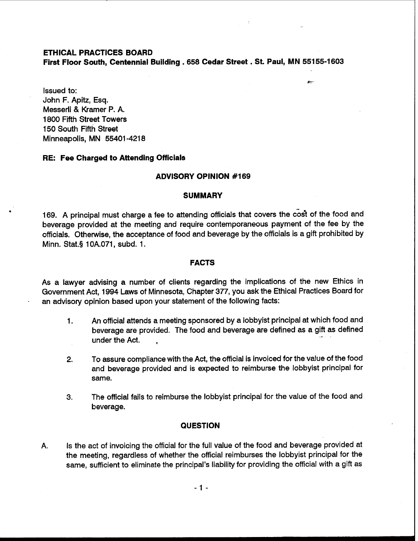## **ETHICAL PRACTICES BOARD**

**First Floor South, Centennial Building ,658 Cedar Street** . **St. Paul, MN 55155-1603** 

 $\overline{\phantom{0}}$ 

Issued to: John F. Apitz, Esq. Messerli & Kramer P. A. 1800 Fifth Street Towers 150 South Fifth Street Minneapolis, MN 55401 -421 8

## **RE: Fee Charged to Attending Officials**

## **ADVISORY OPINION #I69**

#### **SUMMARY**

169. A principal must charge a fee to attending officials that covers the cost of the food and beverage provided at the meeting and require contemporaneous payment of the fee by the officials. Otherwise, the acceptance of food and beverage by the officials is a gift prohibited by Minn. Stat.§ 1 OA.071, subd. 1.

## **FACTS**

As a lawyer advising a number of clients regarding the implications of the new Ethics in Government Act, 1994 Laws of Minnesota, Chapter 377, you ask the Ethical Practices Board for an advisory opinion based upon your statement of the following facts:

- 1. An official attends a meeting sponsored by a lobbyist principal at which food and beverage are provided. The food and beverage are defined as a gift as defined under the Act.
- 2. To assure compliance with the Act, the official is invoiced for the value of the food and beverage provided and is expected to reimburse the lobbyist principal for same.
- **3.** The official fails to reimburse the lobbyist principal for the value of the food and beverage.

## **QUESTION**

A. Is the act of invoicing the official for the full value of the food and beverage provided at the meeting, regardless of whether the official reimburses the lobbyist principal for the same, sufficient to eliminate the principal's liability for providing the official with a gift as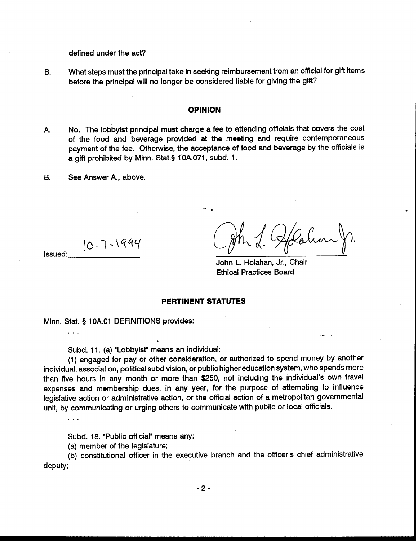defined under the act?

B. What steps must the principal take in seeking reimbursement from an official for gift items before the principal will no longer be considered liable for giving the gift?

#### **OPINION**

- A. No. The lobbyist principal must charge a fee to attending officials that covers the cost of the food and beverage provided at the meeting and require contemporaneous payment of the fee. Otherwise, the acceptance of food and beverage by the officials is a gift prohibited by Minn. Stat.§ 10A.071, subd. 1.
- B. See Answer A,, above.

 $10 - 7 - 1994$ Issued:

John L. Holahan, Jr., Chair Ethical Practices Board

## **PERTINENT STATUTES**

Minn. Stat. **9** 1 OA.O1 DEFINITIONS provides:

**.a.** 

 $\ldots$ 

Subd. 11. (a) "Lobbyist" means an individual:

(1) engaged for pay or other consideration, or authorized to spend money by another individual, association, political subdivision, or public higher education system, who spends more than five hours in any month or more than \$250, not including the individual's own travel expenses and membership dues, in any year, for the purpose of attempting to influence legislative action or administrative action, or the official action of a metropolitan governmental unit, by communicating or urging others to communicate with public or local officials.

Subd. 18. "Public official" means any:

(a) member of the legislature;

(b) constitutional officer in the executive branch and the officer's chief administrative deputy;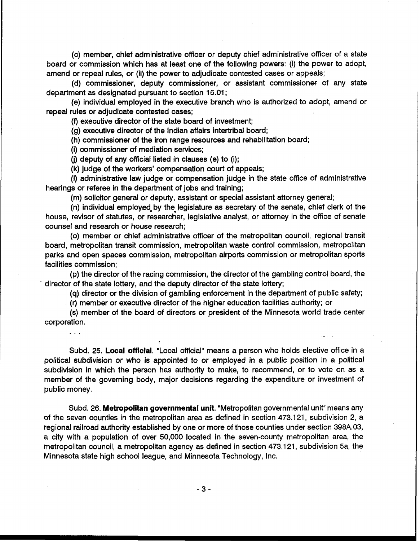(c) member, chief administrative officer or deputy chief administrative officer of a state board or commission which has at least one of the following powers: (i) the power to adopt, amend or repeal rules, or (ii) the power to adjudicate contested cases or appeals;

(d) commissioner, deputy commissioner, or assistant commissioner of any state department as designated pursuant to section 15.01 ;

(e) individual employed in the executive branch who is authorized to adopt, amend or repeal rules or adjudicate contested cases;

(9 executive director of the state board of investment;

(g) executive director of the Indian affairs intertribal board;

(h) commissioner of the iron range resources and rehabilitation board;

(i) commissioner of mediation services;

**(j)** deputy of any official listed in clauses (e) to (i);

?

(k) judge of the workers' compensation court of appeals;

(I) administrative law judge or compensation judge in the state office of administrative hearings or referee in the department of jobs and training;

(m) solicitor general or deputy, assistant or special assistant attorney general;

(n) individual employed. by the legislature as secretary of the senate, chief clerk of the house, revisor of statutes, or researcher, legislative analyst, or attorney in the office of senate counsel and research or house research;

(0) member or chief administrative officer of the metropolitan council, regional transit board, metropolitan transit commission, metropolitan waste control commission, metropolitan parks and open spaces commission, metropolitan airports commission or metropolitan sports facilities commission;

(p) the director of the racing commission, the director of the gambling control board, the director of the state lottery, and the deputy director of the state lottery;

(q) director or the division of gambling enforcement in the department of public safety;

-,

(r) member or executive director of the higher education facilities authority; or

(s) member of the board of directors or president of the Minnesota world trade center corporation.

. . **<sup>a</sup>**

Subd. 25. Local **official.** "Local official" means a person who holds elective office in a political subdivision or who is appointed to or employed in a public position in a political subdivision in which the person has authority to make, to recommend, or to vote on as a member of the governing body, major decisions regarding the expenditure or investment of public money.

Subd. 26. **Metropolitan governmental unit.** "Metropolitan governmental unit" means any of the seven counties in the metropolitan area as defined in section 473.121, subdivision 2, a regional railroad authority established by one or more of those counties under section 398A.03, a city with a population of over 50,000 located in the seven-county metropolitan area, the metropolitan council, a metropolitan agency as defined in section 473.121, subdivision 5a, the Minnesota state high school league, and Minnesota Technology, Inc.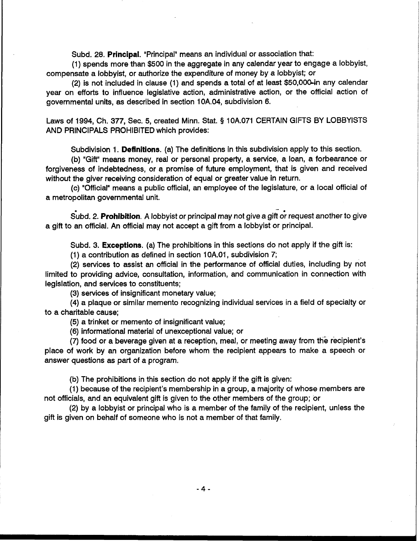Subd. 28. **Principal**. "Principal" means an individual or association that:

(1) spends more than \$500 in the aggregate in any calendar year to engage a lobbyist, compensate a lobbyist, or authorize the expenditure of money by a lobbyist; or

 $(2)$  is not included in clause  $(1)$  and spends a total of at least \$50,000-in any calendar year on efforts to influence legislative action, administrative action, or the official action of governmental units, as described in section 10A.04, subdivision 6.

Laws of 1994, Ch. 377, Sec. 5, created Minn. Stat. **5** 10A.071 CERTAIN GIFTS BY LOBBYISTS AND PRINCIPALS PROHIBITED which provides:

Subdivision 1. **Definitions.** (a) The definitions in this subdivision apply to this section.

(b) "Gift" means money, real or personal property, a service, a loan, a forbearance or forgiveness of indebtedness, or a promise of future employment, that is given and received without the giver receiving consideration of equal or greater value in return.

(c) "Official" means a public official, an employee of the legislature, or a local official of a metropolitan governmental unit.

- Subd. 2. **Prohibition**. A lobbyist or principal may not give a gift or request another to give a gift to an official. An official may not accept a gift from a lobbyist or principal.

Subd. 3. **Exceptions.** (a) The prohibitions in this sections do not apply if the gift is:

(1) a contribution as defined in section lOA.01, subdivision 7;

(2) services to assist an official in the performance of official duties, including by not limited to providing advice, consultation, information, and communication in connection with legislation, and services to constituents;

(3) services of insignificant monetary value;

(4) a plaque or similar memento recognizing individual services in a field of specialty or to a charitable cause;

(5) a trinket or memento of insignificant value;

(6) informational material of unexceptional value; or

(7) food or a beverage given at a reception, meal, or meeting away from the recipient's place of work by an organization before whom the recipient appears to make a speech or answer questions as part of a program.

(b) The prohibitions in this section do not apply if the gift is given:

(1) because of the recipient's membership in a group, a majority of whose members are not officials, and an equivalent gift is given to the other members of the group; or

(2) by a lobbyist or principal who is a member of the family of the recipient, unless the gift is given on behalf of someone who is not a member of that family.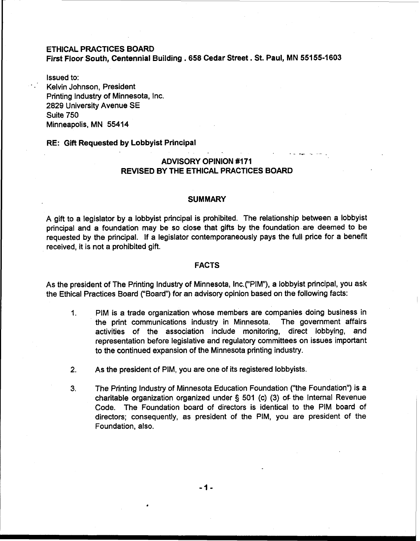## ETHICAL PRACTICES BOARD

First Floor South, Centennial Building . **658** Cedar Street. St. Paul, MN **55155-1603** 

Issued to: Kelvin Johnson, President Printing lndustry of Minnesota, Inc. 2829 University Avenue SE Suite 750 Minneapolis, MN 55414

## RE: Gift Requested by Lobbyist Principal

# ADVISORY OPINION **#I71**  REVISED BY THE ETHICAL PRACTICES BOARD

## **SUMMARY**

A gift to a legislator by a lobbyist principal is prohibited. The relationship between a lobbyist principal and a foundation may be so close that gifts by the foundation are deemed to be requested by the principal. If a legislator contemporaneously pays the full price for a benefit received, it is not a prohibited gift.

## FACTS

As the president of The Printing lndustry of Minnesota, Inc.("PIM"), a lobbyist principal, you ask the Ethical Practices Board ("Board") for an advisory opinion based on the following facts:

- 1. PIM is a trade organization whose members are companies doing business in the print communications industry in Minnesota. The government affairs activities of the association include monitoring, direct lobbying, and representation before legislative and regulatory committees on issues important to the continued expansion of the Minnesota printing industry.
- **2.** As the president of PIM, you are one of its registered lobbyists.
- **3.** The Printing lndustry of Minnesota Education Foundation ("the Foundation") is a charitable organization organized under § 501 (c) (3) of the Internal Revenue Code. The Foundation board of directors is identical to the PIM board of directors; consequently, as president of the PIM, you are president of the Foundation, also.

-1-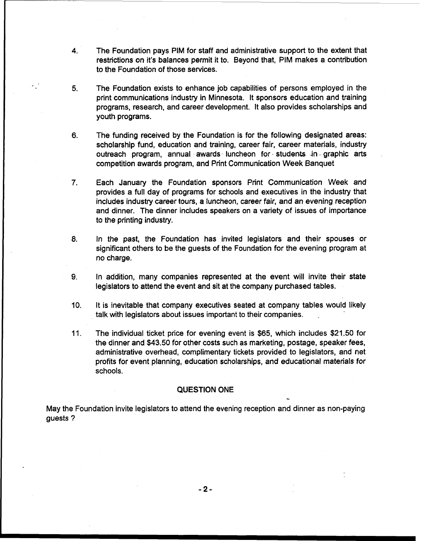- 4. The Foundation pays PIM for staff and administrative support to the extent that restrictions on it's balances permit it to. Beyond that, PIM makes a contribution to the Foundation of those services.
- 5. The Foundation exists to enhance job capabilities of persons employed in the print communications industry in Minnesota. It sponsors education and training programs, research, and career development. It also provides scholarships and youth programs.
- 6. The funding received by the Foundation is for the following designated areas: scholarship fund, education and training, career fair, career materials, industry outreach program, annual awards luncheon for students in graphic arts competition awards program, and Print Communication Week Banquet
- 7. Each January the Foundation sponsors Print Communication Week and provides a full day of programs for schools and executives in the industry that includes industry career tours, a luncheon, career fair, and an evening reception and dinner. The dinner includes speakers on a variety of issues of importance to the printing industry.
- 8. In the past, the Foundation has invited legislators and their spouses or significant others to be the guests of the Foundation for the evening program at no charge.
- **9.** In addition, many companies represented at the event will invite their state legislators to attend the event and sit at the company purchased tables.
- 10. It is inevitable that company executives seated at company tables would likely talk with legislators about issues important to their companies. .
- 11. The individual ticket price for evening event is \$65, which includes \$21.50 for the dinner and \$43.50 for other costs such as marketing, postage, speaker fees, administrative overhead, complimentary tickets provided to legislators, and net profits for event planning, education scholarships, and educational materials for schools.

-

#### **QUESTION ONE**

May the Foundation invite legislators to attend the evening reception and dinner as non-paying guests ?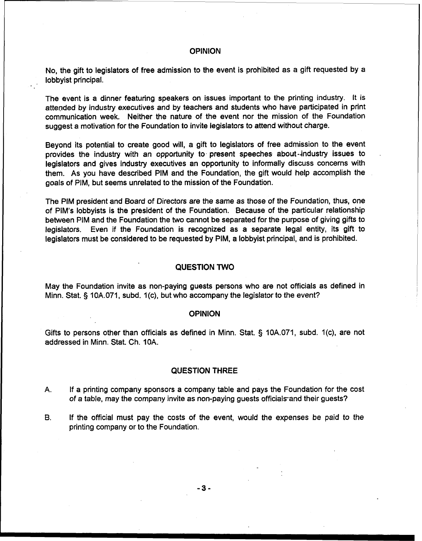## **OPINION**

No, the gift to legislators of free admission to the event is prohibited as a gift requested by a lobbyist principal.

The event is a dinner featuring speakers on issues important to the printing industry. It is attended by industry executives and by teachers and students who have participated in print communication week. Neither the nature of the event nor the mission of the Foundation suggest a motivation for the Foundation to invite legislators to attend without charge.

Beyond its potential to create good will, a gift to legislators of free admission to the event provides the industry with an opportunity to- present speeches about-industry issues to legislators and gives industry executives an opportunity to informally discuss concerns with them. As you have described PIM and the Foundation, the gift would help accomplish the goals of PIM, but seems unrelated to the mission of the Foundation.

The PIM president and Board of Directors are the same as those of the Foundation, thus, one of PIM's lobbyists is the president of the Foundation. Because of the particular relationship between PIM and the Foundation the two cannot be separated for the purpose of giving gifts to legislators. Even if the Foundation is recognized as a separate legal entity, its gift to legislators must be considered to be requested by PIM, a lobbyist principal, and is prohibited.

#### QUESTION TWO

May the Foundation invite as non-paying guests persons who are not officials as defined in Minn. Stat. § 10A.071, subd. 1(c), but who accompany the legislator to the event?

#### **OPINION**

Gifts to persons other than officials as defined in Minn. Stat. § 10A.071, subd. 1(c), are not addressed in Minn. Stat. Ch. 10A.

#### QUESTION THREE

- A. If a printing company sponsors a company table and pays the Foundation for the cost of a table, may the company invite as non-paying guests officials and their guests?
- B. If the official must pay the costs of the event, would the expenses be paid to the printing company or to the Foundation.

 $-3-$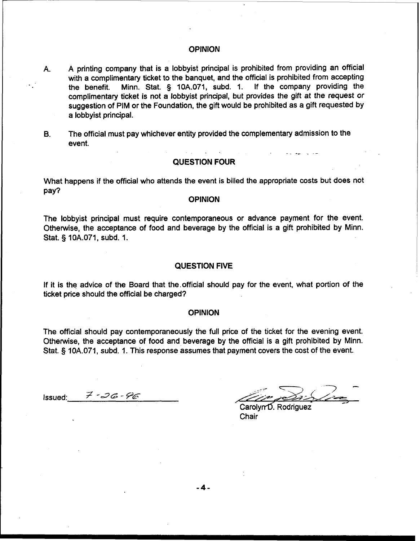## **OPINION**

- A. A printing company that is a lobbyist principal is prohibited from providing an official with a complimentary ticket to the banquet, and the official is prohibited from accepting<br>the benefit. Minn. Stat. § 10A.071, subd. 1. If the company providing the the benefit. Minn. Stat.  $§$  10A.071, subd. 1. complimentary ticket is not a lobbyist principal, but provides the gift at the request or suggestion of PIM or the Foundation, the gift would be prohibited as a gift requested by a lobbyist principal.
- B. The official must pay whichever entity provided the complementary admission to the event. -. .- -- - -

# QUESTION FOUR

What happens if the official who attends the event is billed the appropriate costs but does not pay?

#### OPINION

The lobbyist principal must require contemporaneous or advance payment for the event. Otherwise, the acceptance of food and beverage by the official is a gift prohibited by Minn. Stat. **5** 10A.071, subd. 1.

#### QUESTION **FIVE**

If it is the advice of the Board that the.official should pay for the event, what portion of the ticket price should the official be charged?

#### **OPINION**

The official should pay contemporaneously the full price of the ticket for the evening event. Otherwise, the acceptance of food and beverage by the official is a gift prohibited by Minn. Stat. § 10A.071, subd. 1. This response assumes that payment covers the cost of the event.

Issued:  $\vec{z}$  - 26 - 96

Carolyn D. Rodriguez Chair

 $-4-$